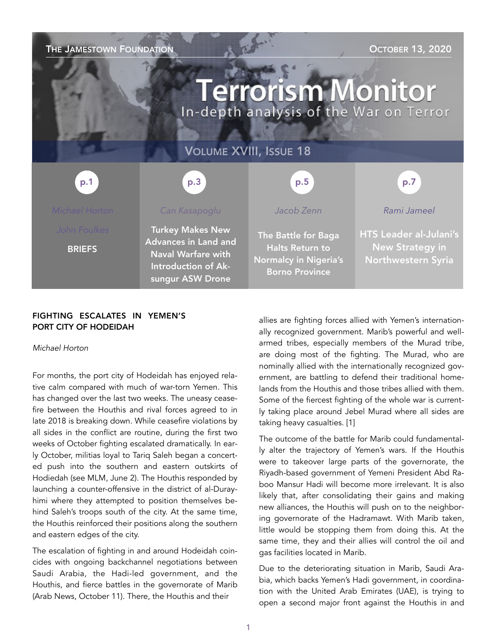THE JAMESTOWN FOUNDATION **THE JAMESTOWN FOUNDATION** 

# **Terrorism Monitor** In-depth analysis of the War on Terror

### VOLUME XVIII, ISSUE 18

| p.1                           | p.3                                                                                                                            | p.5                                                                                                    | p.7                                                                                  |
|-------------------------------|--------------------------------------------------------------------------------------------------------------------------------|--------------------------------------------------------------------------------------------------------|--------------------------------------------------------------------------------------|
| Michael Horton                | Can Kasapoglu                                                                                                                  | Jacob Zenn                                                                                             | Rami Jameel                                                                          |
| John Foulkes<br><b>BRIEFS</b> | <b>Turkey Makes New</b><br><b>Advances in Land and</b><br><b>Naval Warfare with</b><br>Introduction of Ak-<br>sungur ASW Drone | The Battle for Baga<br><b>Halts Return to</b><br><b>Normalcy in Nigeria's</b><br><b>Borno Province</b> | <b>HTS Leader al-Julani's</b><br><b>New Strategy in</b><br><b>Northwestern Syria</b> |

### FIGHTING ESCALATES IN YEMEN'S PORT CITY OF HODEIDAH

*Michael Horton* 

For months, the port city of Hodeidah has enjoyed relative calm compared with much of war-torn Yemen. This has changed over the last two weeks. The uneasy ceasefire between the Houthis and rival forces agreed to in late 2018 is breaking down. While ceasefire violations by all sides in the conflict are routine, during the first two weeks of October fighting escalated dramatically. In early October, militias loyal to Tariq Saleh began a concerted push into the southern and eastern outskirts of Hodiedah (see [MLM](https://jamestown.org/program/yemens-wildcard-general-an-updated-profile-of-brigadier-tariq-saleh/), June 2). The Houthis responded by launching a counter-offensive in the district of al-Durayhimi where they attempted to position themselves behind Saleh's troops south of the city. At the same time, the Houthis reinforced their positions along the southern and eastern edges of the city.

The escalation of fighting in and around Hodeidah coincides with ongoing backchannel negotiations between Saudi Arabia, the Hadi-led government, and the Houthis, and fierce battles in the governorate of Marib ([Arab News,](https://www.arabnews.com/node/1747226/middle-east) October 11). There, the Houthis and their

allies are fighting forces allied with Yemen's internationally recognized government. Marib's powerful and wellarmed tribes, especially members of the Murad tribe, are doing most of the fighting. The Murad, who are nominally allied with the internationally recognized government, are battling to defend their traditional homelands from the Houthis and those tribes allied with them. Some of the fiercest fighting of the whole war is currently taking place around Jebel Murad where all sides are taking heavy casualties. [1]

The outcome of the battle for Marib could fundamentally alter the trajectory of Yemen's wars. If the Houthis were to takeover large parts of the governorate, the Riyadh-based government of Yemeni President Abd Raboo Mansur Hadi will become more irrelevant. It is also likely that, after consolidating their gains and making new alliances, the Houthis will push on to the neighboring governorate of the Hadramawt. With Marib taken, little would be stopping them from doing this. At the same time, they and their allies will control the oil and gas facilities located in Marib.

Due to the deteriorating situation in Marib, Saudi Arabia, which backs Yemen's Hadi government, in coordination with the United Arab Emirates (UAE), is trying to open a second major front against the Houthis in and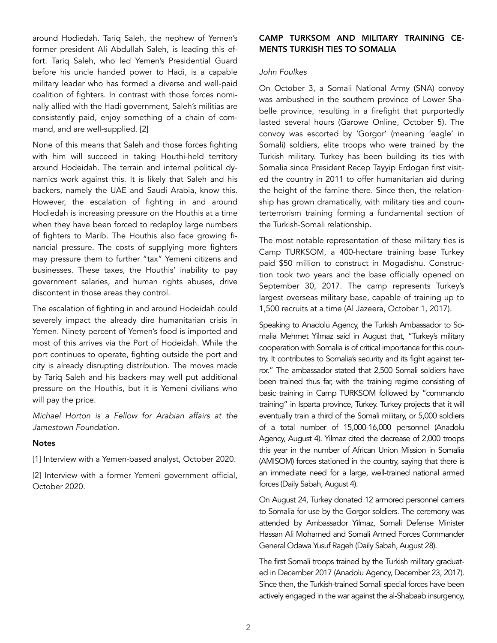around Hodiedah. Tariq Saleh, the nephew of Yemen's former president Ali Abdullah Saleh, is leading this effort. Tariq Saleh, who led Yemen's Presidential Guard before his uncle handed power to Hadi, is a capable military leader who has formed a diverse and well-paid coalition of fighters. In contrast with those forces nominally allied with the Hadi government, Saleh's militias are consistently paid, enjoy something of a chain of command, and are well-supplied. [2]

None of this means that Saleh and those forces fighting with him will succeed in taking Houthi-held territory around Hodeidah. The terrain and internal political dynamics work against this. It is likely that Saleh and his backers, namely the UAE and Saudi Arabia, know this. However, the escalation of fighting in and around Hodiedah is increasing pressure on the Houthis at a time when they have been forced to redeploy large numbers of fighters to Marib. The Houthis also face growing financial pressure. The costs of supplying more fighters may pressure them to further "tax" Yemeni citizens and businesses. These taxes, the Houthis' inability to pay government salaries, and human rights abuses, drive discontent in those areas they control.

The escalation of fighting in and around Hodeidah could severely impact the already dire humanitarian crisis in Yemen. Ninety percent of Yemen's food is imported and most of this arrives via the Port of Hodeidah. While the port continues to operate, fighting outside the port and city is already disrupting distribution. The moves made by Tariq Saleh and his backers may well put additional pressure on the Houthis, but it is Yemeni civilians who will pay the price.

*Michael Horton is a Fellow for Arabian affairs at the Jamestown Foundation.* 

#### **Notes**

[1] Interview with a Yemen-based analyst, October 2020.

[2] Interview with a former Yemeni government official, October 2020.

### CAMP TURKSOM AND MILITARY TRAINING CE-MENTS TURKISH TIES TO SOMALIA

### *John Foulkes*

On October 3, a Somali National Army (SNA) convoy was ambushed in the southern province of Lower Shabelle province, resulting in a firefight that purportedly lasted several hours [\(Garowe Online](https://www.garoweonline.com/en/news/somalia/al-shabaab-ambushes-turkish-trained-sna-troops-in-somalia), October 5). The convoy was escorted by 'Gorgor' (meaning 'eagle' in Somali) soldiers, elite troops who were trained by the Turkish military. Turkey has been building its ties with Somalia since President Recep Tayyip Erdogan first visited the country in 2011 to offer humanitarian aid during the height of the famine there. Since then, the relationship has grown dramatically, with military ties and counterterrorism training forming a fundamental section of the Turkish-Somali relationship.

The most notable representation of these military ties is Camp TURKSOM, a 400-hectare training base Turkey paid \$50 million to construct in Mogadishu. Construction took two years and the base officially opened on September 30, 2017. The camp represents Turkey's largest overseas military base, capable of training up to 1,500 recruits at a time ([Al Jazeera,](https://www.aljazeera.com/news/2017/10/1/turkey-sets-up-largest-overseas-army-base-in-somalia) October 1, 2017).

Speaking to Anadolu Agency, the Turkish Ambassador to Somalia Mehmet Yilmaz said in August that, "Turkey's military cooperation with Somalia is of critical importance for this country. It contributes to Somalia's security and its fight against terror." The ambassador stated that 2,500 Somali soldiers have been trained thus far, with the training regime consisting of basic training in Camp TURKSOM followed by "commando training" in Isparta province, Turkey. Turkey projects that it will eventually train a third of the Somali military, or 5,000 soldiers of a total number of 15,000-16,000 personnel ([Anadolu](https://www.aa.com.tr/tr/turkiye/turkiyenin-mogadisu-buyukelcisi-yilmaz-somali-ordusunun-3te-1ini-turkiye-egitmis-olacak/1930920) [Agency,](https://www.aa.com.tr/tr/turkiye/turkiyenin-mogadisu-buyukelcisi-yilmaz-somali-ordusunun-3te-1ini-turkiye-egitmis-olacak/1930920) August 4). Yilmaz cited the decrease of 2,000 troops this year in the number of African Union Mission in Somalia (AMISOM) forces stationed in the country, saying that there is an immediate need for a large, well-trained national armed forces [\(Daily Sabah,](https://www.dailysabah.com/politics/turkey-to-train-13-of-entire-somali-military-envoy-says/news) August 4).

On August 24, Turkey donated 12 armored personnel carriers to Somalia for use by the Gorgor soldiers. The ceremony was attended by Ambassador Yilmaz, Somali Defense Minister Hassan Ali Mohamed and Somali Armed Forces Commander General Odawa Yusuf Rageh [\(Daily Sabah,](https://www.dailysabah.com/politics/turkey-donates-armored-personnel-carriers-to-somalia/news) August 28).

The first Somali troops trained by the Turkish military graduated in December 2017 [\(Anadolu Agency,](https://www.aa.com.tr/en/pg/photo-gallery/somali-cadets-graduate-from-turkish-military-academy) December 23, 2017). Since then, the Turkish-trained Somali special forces have been actively engaged in the war against the al-Shabaab insurgency,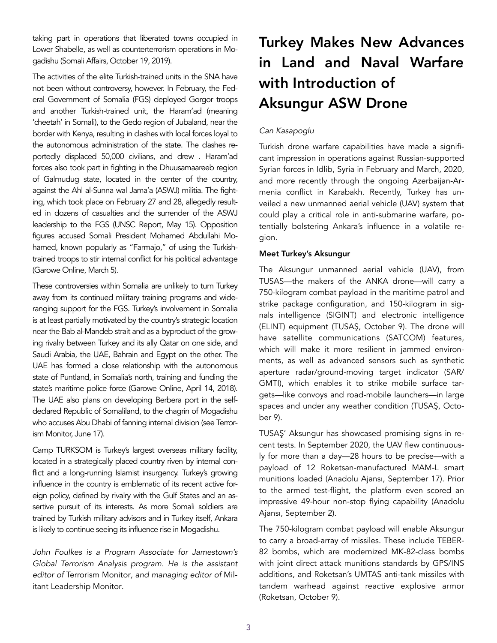taking part in operations that liberated towns occupied in Lower Shabelle, as well as counterterrorism operations in Mogadishu ([Somali Affairs,](https://www.somaliaffairs.com/news/somali-security-forces-kill-military-commander-in-mogadishu/) October 19, 2019).

The activities of the elite Turkish-trained units in the SNA have not been without controversy, however. In February, the Federal Government of Somalia (FGS) deployed Gorgor troops and another Turkish-trained unit, the Haram'ad (meaning 'cheetah' in Somali), to the Gedo region of Jubaland, near the border with Kenya, resulting in clashes with local forces loyal to the autonomous administration of the state. The clashes reportedly displaced 50,000 civilians, and drew . Haram'ad forces also took part in fighting in the Dhuusamaareeb region of Galmudug state, located in the center of the country, against the Ahl al-Sunna wal Jama'a (ASWJ) militia. The fighting, which took place on February 27 and 28, allegedly resulted in dozens of casualties and the surrender of the ASWJ leadership to the FGS [\(UNSC Report,](https://www.securitycouncilreport.org/atf/cf/%7B65BFCF9B-6D27-4E9C-8CD3-CF6E4FF96FF9%7D/S_2020_398.pdf) May 15). Opposition figures accused Somali President Mohamed Abdullahi Mohamed, known popularly as "Farmajo," of using the Turkishtrained troops to stir internal conflict for his political advantage [\(Garowe Online,](https://www.garoweonline.com/en/news/somalia/turkey-under-pressure-to-stop-funding-troops-involved-in-somalia-violence) March 5).

These controversies within Somalia are unlikely to turn Turkey away from its continued military training programs and wideranging support for the FGS. Turkey's involvement in Somalia is at least partially motivated by the country's strategic location near the Bab al-Mandeb strait and as a byproduct of the growing rivalry between Turkey and its ally Qatar on one side, and Saudi Arabia, the UAE, Bahrain and Egypt on the other. The UAE has formed a close relationship with the autonomous state of Puntland, in Somalia's north, training and funding the state's maritime police force [\(Garowe Online,](https://www.garoweonline.com/en/news/puntland/somalia-uae-confirms-to-continue-supporting-puntland-troops) April 14, 2018). The UAE also plans on developing Berbera port in the selfdeclared Republic of Somaliland, to the chagrin of Mogadishu who accuses Abu Dhabi of fanning internal division (see [Terror](https://jamestown.org/program/briefs-330/)[ism Monitor,](https://jamestown.org/program/briefs-330/) June 17).

Camp TURKSOM is Turkey's largest overseas military facility, located in a strategically placed country riven by internal conflict and a long-running Islamist insurgency. Turkey's growing influence in the country is emblematic of its recent active foreign policy, defined by rivalry with the Gulf States and an assertive pursuit of its interests. As more Somali soldiers are trained by Turkish military advisors and in Turkey itself, Ankara is likely to continue seeing its influence rise in Mogadishu.

*John Foulkes is a Program Associate for Jamestown's Global Terrorism Analysis program. He is the assistant editor of* Terrorism Monitor*, and managing editor of* Militant Leadership Monitor*.*

## Turkey Makes New Advances in Land and Naval Warfare with Introduction of Aksungur ASW Drone

### *Can Kasapoglu*

Turkish drone warfare capabilities have made a significant impression in operations against Russian-supported Syrian forces in Idlib, Syria in February and March, 2020, and more recently through the ongoing Azerbaijan-Armenia conflict in Karabakh. Recently, Turkey has unveiled a new unmanned aerial vehicle (UAV) system that could play a critical role in anti-submarine warfare, potentially bolstering Ankara's influence in a volatile region.

### Meet Turkey's Aksungur

The Aksungur unmanned aerial vehicle (UAV), from TUSAS—the makers of the ANKA drone—will carry a 750-kilogram combat payload in the maritime patrol and strike package configuration, and 150-kilogram in signals intelligence (SIGINT) and electronic intelligence (ELINT) equipment [\(TUSA](https://www.tusas.com/urun/aksungur)Ş, October 9). The drone will have satellite communications (SATCOM) features, which will make it more resilient in jammed environments, as well as advanced sensors such as synthetic aperture radar/ground-moving target indicator (SAR/ GMTI), which enables it to strike mobile surface targets—like convoys and road-mobile launchers—in large spaces and under any weather condition [\(TUSA](https://www.tusas.com/uploads/2019/12/aksungur-flyer.pdf)Ş, October 9).

TUSAŞ' Aksungur has showcased promising signs in recent tests. In September 2020, the UAV flew continuously for more than a day—28 hours to be precise—with a payload of 12 Roketsan-manufactured MAM-L smart munitions loaded ([Anadolu Ajansı,](https://www.aa.com.tr/tr/bilim-teknoloji/aksungur-tam-yuklu-muhimmatla-1-gunden-fazla-uctu/1976732) September 17). Prior to the armed test-flight, the platform even scored an impressive 49-hour non-stop flying capability [\(Anadolu](https://www.aa.com.tr/tr/turkiye/aksungur-iha-49-saatlik-ucusa-imza-atti/1961197)  [Ajansı,](https://www.aa.com.tr/tr/turkiye/aksungur-iha-49-saatlik-ucusa-imza-atti/1961197) September 2).

The 750-kilogram combat payload will enable Aksungur to carry a broad-array of missiles. These include TEBER-82 bombs, which are modernized MK-82-class bombs with joint direct attack munitions standards by GPS/INS additions, and Roketsan's UMTAS anti-tank missiles with tandem warhead against reactive explosive armor ([Roketsan,](https://www.roketsan.com.tr/en/product/umtas-long-range-anti-tank-missile-system/) October 9).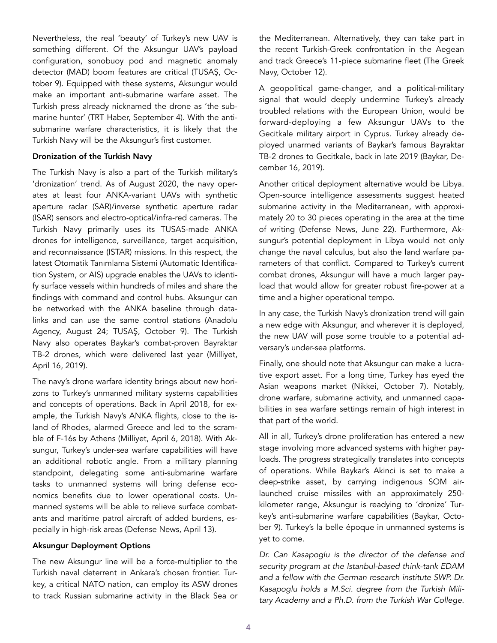Nevertheless, the real 'beauty' of Turkey's new UAV is something different. Of the Aksungur UAV's payload configuration, sonobuoy pod and magnetic anomaly detector (MAD) boom features are critical ([TUSA](https://www.tusas.com/uploads/2019/12/aksungur-flyer.pdf)Ş, October 9). Equipped with these systems, Aksungur would make an important anti-submarine warfare asset. The Turkish press already nicknamed the drone as 'the submarine hunter' [\(TRT Haber,](https://www.trthaber.com/haber/gundem/aksungur-ege-ve-akdenizde-denge-degistirecek-513808.html) September 4). With the antisubmarine warfare characteristics, it is likely that the Turkish Navy will be the Aksungur's first customer.

### Dronization of the Turkish Navy

The Turkish Navy is also a part of the Turkish military's 'dronization' trend. As of August 2020, the navy operates at least four ANKA-variant UAVs with synthetic aperture radar (SAR)/inverse synthetic aperture radar (ISAR) sensors and electro-optical/infra-red cameras. The Turkish Navy primarily uses its TUSAS-made ANKA drones for intelligence, surveillance, target acquisition, and reconnaissance (ISTAR) missions. In this respect, the latest Otomatik Tanımlama Sistemi (Automatic Identification System, or AIS) upgrade enables the UAVs to identify surface vessels within hundreds of miles and share the findings with command and control hubs. Aksungur can be networked with the ANKA baseline through datalinks and can use the same control stations [\(Anadolu](https://www.aa.com.tr/tr/turkiye/deniz-kuvvetleri-komutanligina-bir-anka-daha-teslim-edildi/1951276)  [Agency,](https://www.aa.com.tr/tr/turkiye/deniz-kuvvetleri-komutanligina-bir-anka-daha-teslim-edildi/1951276) August 24; [TUSA](https://www.tusas.com/uploads/2019/12/aksungur-flyer.pdf)Ş, October 9). The Turkish Navy also operates Baykar's combat-proven Bayraktar TB-2 drones, which were delivered last year ([Milliyet,](https://www.milliyet.com.tr/ekonomi/deniz-kuvvetleri-komutanligina-teslim-edilen-siha-ilk-test-ucusunu-yapti-2859618)  April 16, 2019).

The navy's drone warfare identity brings about new horizons to Turkey's unmanned military systems capabilities and concepts of operations. Back in April 2018, for example, the Turkish Navy's ANKA flights, close to the island of Rhodes, alarmed Greece and led to the scramble of F-16s by Athens [\(Milliyet,](https://www.milliyet.com.tr/gundem/anka-icin-f-16-kaldirmislar-2642500) April 6, 2018). With Aksungur, Turkey's under-sea warfare capabilities will have an additional robotic angle. From a military planning standpoint, delegating some anti-submarine warfare tasks to unmanned systems will bring defense economics benefits due to lower operational costs. Unmanned systems will be able to relieve surface combatants and maritime patrol aircraft of added burdens, especially in high-risk areas [\(Defense News,](https://www.defensenews.com/opinion/commentary/2020/04/13/us-navy-should-turn-to-unmanned-systems-to-track-and-destroy-submarines/) April 13).

### Aksungur Deployment Options

The new Aksungur line will be a force-multiplier to the Turkish naval deterrent in Ankara's chosen frontier. Turkey, a critical NATO nation, can employ its ASW drones to track Russian submarine activity in the Black Sea or the Mediterranean. Alternatively, they can take part in the recent Turkish-Greek confrontation in the Aegean and track Greece's 11-piece submarine fleet ([The Greek](https://www.hellenicnavy.gr/en/fleet/submarines.html) [Navy,](https://www.hellenicnavy.gr/en/fleet/submarines.html) October 12).

A geopolitical game-changer, and a political-military signal that would deeply undermine Turkey's already troubled relations with the European Union, would be forward-deploying a few Aksungur UAVs to the Gecitkale military airport in Cyprus. Turkey already deployed unarmed variants of Baykar's famous Bayraktar TB-2 drones to Gecitkale, back in late 2019 ([Baykar,](https://www.baykarsavunma.com/haber-Turkiyeden-KKTCye-ilk-Bayraktar-TB2-IHA-indi.html) December 16, 2019).

Another critical deployment alternative would be Libya. Open-source intelligence assessments suggest heated submarine activity in the Mediterranean, with approximately 20 to 30 pieces operating in the area at the time of writing [\(Defense News,](https://www.defensenews.com/global/europe/2020/06/22/a-naval-arms-race-is-gaining-speed-in-the-mediterranean-sea/) June 22). Furthermore, Aksungur's potential deployment in Libya would not only change the naval calculus, but also the land warfare parameters of that conflict. Compared to Turkey's current combat drones, Aksungur will have a much larger payload that would allow for greater robust fire-power at a time and a higher operational tempo.

In any case, the Turkish Navy's dronization trend will gain a new edge with Aksungur, and wherever it is deployed, the new UAV will pose some trouble to a potential adversary's under-sea platforms.

Finally, one should note that Aksungur can make a lucrative export asset. For a long time, Turkey has eyed the Asian weapons market [\(Nikkei,](https://asia.nikkei.com/Politics/International-relations/Turkey-begins-to-rival-China-in-military-drones) October 7). Notably, drone warfare, submarine activity, and unmanned capabilities in sea warfare settings remain of high interest in that part of the world.

All in all, Turkey's drone proliferation has entered a new stage involving more advanced systems with higher payloads. The progress strategically translates into concepts of operations. While Baykar's Akinci is set to make a deep-strike asset, by carrying indigenous SOM airlaunched cruise missiles with an approximately 250 kilometer range, Aksungur is readying to 'dronize' Turkey's anti-submarine warfare capabilities [\(Baykar,](https://www.baykarsavunma.com/iha-14.html) October 9). Turkey's la belle époque in unmanned systems is yet to come.

*Dr. Can Kasapoglu is the director of the defense and security program at the Istanbul-based think-tank EDAM and a fellow with the German research institute SWP. Dr. Kasapoglu holds a M.Sci. degree from the Turkish Military Academy and a Ph.D. from the Turkish War College.*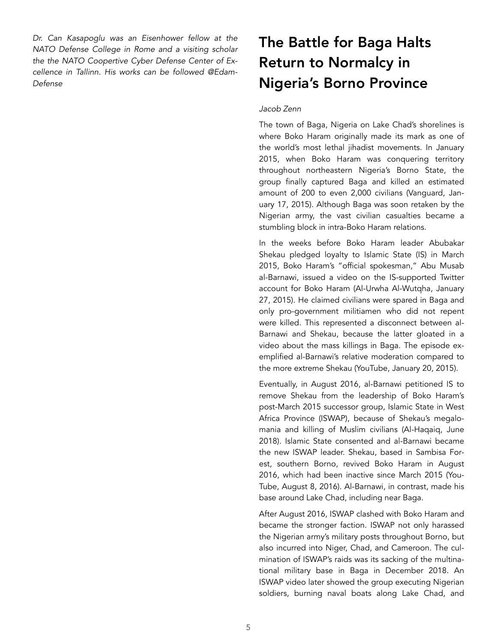*Dr. Can Kasapoglu was an Eisenhower fellow at the NATO Defense College in Rome and a visiting scholar the the NATO Coopertive Cyber Defense Center of Excellence in Tallinn. His works can be followed @Edam-Defense*

### The Battle for Baga Halts Return to Normalcy in Nigeria's Borno Province

#### *Jacob Zenn*

The town of Baga, Nigeria on Lake Chad's shorelines is where Boko Haram originally made its mark as one of the world's most lethal jihadist movements. In January 2015, when Boko Haram was conquering territory throughout northeastern Nigeria's Borno State, the group finally captured Baga and killed an estimated amount of 200 to even 2,000 civilians [\(Vanguard,](https://www.vanguardngr.com/2015/01/boko-haram-killed-woman-labour-baga-massacre-amnesty-intl/) January 17, 2015). Although Baga was soon retaken by the Nigerian army, the vast civilian casualties became a stumbling block in intra-Boko Haram relations.

In the weeks before Boko Haram leader Abubakar Shekau pledged loyalty to Islamic State (IS) in March 2015, Boko Haram's "official spokesman," Abu Musab al-Barnawi, issued a video on the IS-supported Twitter account for Boko Haram [\(Al-Urwha Al-Wutqha,](https://unmaskingbokoharam.com/2019/04/10/al-urwha-al-wutqha-interview-with-the-official-spokesman-january-27-2015/) January 27, 2015). He claimed civilians were spared in Baga and only pro-government militiamen who did not repent were killed. This represented a disconnect between al-Barnawi and Shekau, because the latter gloated in a video about the mass killings in Baga. The episode exemplified al-Barnawi's relative moderation compared to the more extreme Shekau [\(YouTube,](https://unmaskingbokoharam.com/2019/04/07/abubakar-shekau-message-to-the-world-on-baga-january-20-2015/) January 20, 2015).

Eventually, in August 2016, al-Barnawi petitioned IS to remove Shekau from the leadership of Boko Haram's post-March 2015 successor group, Islamic State in West Africa Province (ISWAP), because of Shekau's megalomania and killing of Muslim civilians ([Al-Haqaiq,](https://unmaskingbokoharam.com/2019/05/10/abu-musab-al-barnawi-slicing-off-the-tumor-book-june-2018/) June 2018). Islamic State consented and al-Barnawi became the new ISWAP leader. Shekau, based in Sambisa Forest, southern Borno, revived Boko Haram in August 2016, which had been inactive since March 2015 [\(You-](https://unmaskingbokoharam.com/2019/04/09/abubakar-shekau-and-man-chari-message-from-the-soldiers-video-august-8-2016/)[Tube,](https://unmaskingbokoharam.com/2019/04/09/abubakar-shekau-and-man-chari-message-from-the-soldiers-video-august-8-2016/) August 8, 2016). Al-Barnawi, in contrast, made his base around Lake Chad, including near Baga.

After August 2016, ISWAP clashed with Boko Haram and became the stronger faction. ISWAP not only harassed the Nigerian army's military posts throughout Borno, but also incurred into Niger, Chad, and Cameroon. The culmination of ISWAP's raids was its sacking of the multinational military base in Baga in December 2018. An ISWAP video later showed the group executing Nigerian soldiers, burning naval boats along Lake Chad, and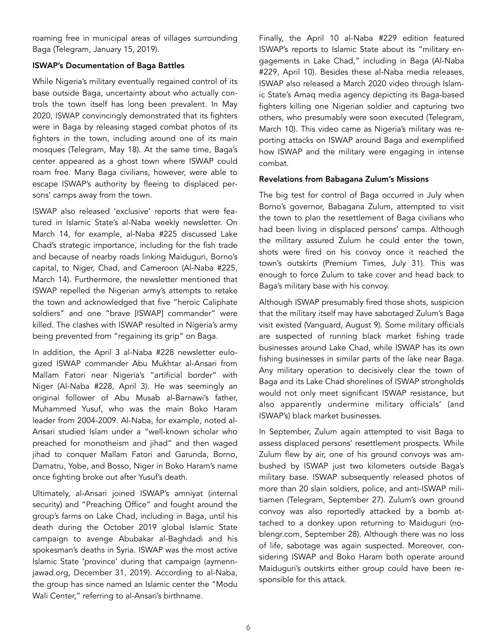roaming free in municipal areas of villages surrounding Baga [\(Telegram,](https://unmaskingbokoharam.com/2019/04/29/iswap-emigration-and-combat-january-15-2019/) January 15, 2019).

### ISWAP's Documentation of Baga Battles

While Nigeria's military eventually regained control of its base outside Baga, uncertainty about who actually controls the town itself has long been prevalent. In May 2020, ISWAP convincingly demonstrated that its fighters were in Baga by releasing staged combat photos of its fighters in the town, including around one of its main mosques ([Telegram,](https://unmaskingbokoharam.files.wordpress.com/2020/05/iswapmay182020ramadaninbaga.pdf) May 18). At the same time, Baga's center appeared as a ghost town where ISWAP could roam free. Many Baga civilians, however, were able to escape ISWAP's authority by fleeing to displaced persons' camps away from the town.

ISWAP also released 'exclusive' reports that were featured in Islamic State's al-Naba weekly newsletter. On March 14, for example, al-Naba #225 discussed Lake Chad's strategic importance, including for the fish trade and because of nearby roads linking Maiduguri, Borno's capital, to Niger, Chad, and Cameroon ([Al-Naba #225,](https://unmaskingbokoharam.files.wordpress.com/2020/03/alnaba225march132020bagainterview.pdf)  March 14). Furthermore, the newsletter mentioned that ISWAP repelled the Nigerian army's attempts to retake the town and acknowledged that five "heroic Caliphate soldiers" and one "brave [ISWAP] commander" were killed. The clashes with ISWAP resulted in Nigeria's army being prevented from "regaining its grip" on Baga.

In addition, the April 3 al-Naba #228 newsletter eulogized ISWAP commander Abu Mukhtar al-Ansari from Mallam Fatori near Nigeria's "artificial border" with Niger [\(Al-Naba #228,](https://unmaskingbokoharam.com/2019/05/14/alnaba179180190198201205/) April 3). He was seemingly an original follower of Abu Musab al-Barnawi's father, Muhammed Yusuf, who was the main Boko Haram leader from 2004-2009. Al-Naba, for example, noted al-Ansari studied Islam under a "well-known scholar who preached for monotheism and jihad" and then waged jihad to conquer Mallam Fatori and Garunda, Borno, Damatru, Yobe, and Bosso, Niger in Boko Haram's name once fighting broke out after Yusuf's death.

Ultimately, al-Ansari joined ISWAP's amniyat (internal security) and "Preaching Office" and fought around the group's farms on Lake Chad, including in Baga, until his death during the October 2019 global Islamic State campaign to avenge Abubakar al-Baghdadi and his spokesman's deaths in Syria. ISWAP was the most active Islamic State 'province' during that campaign [\(aymenn](http://www.aymennjawad.org/23628/the-islamic-state-revenge-expedition-for-abu-bakr)[jawad.org,](http://www.aymennjawad.org/23628/the-islamic-state-revenge-expedition-for-abu-bakr) December 31, 2019). According to al-Naba, the group has since named an Islamic center the "Modu Wali Center," referring to al-Ansari's birthname.

Finally, the April 10 al-Naba #229 edition featured ISWAP's reports to Islamic State about its "military engagements in Lake Chad," including in Baga [\(Al-Naba](https://unmaskingbokoharam.files.wordpress.com/2020/04/isalnaba229april102020iswapreportstoisonlakechad.pdf) [#229,](https://unmaskingbokoharam.files.wordpress.com/2020/04/isalnaba229april102020iswapreportstoisonlakechad.pdf) April 10). Besides these al-Naba media releases, ISWAP also released a March 2020 video through Islamic State's Amaq media agency depicting its Baga-based fighters killing one Nigerian soldier and capturing two others, who presumably were soon executed ([Telegram,](https://unmaskingbokoharam.com/2019/04/11/iswap-amaq-video-of-liquidation-of-supporters-of-nigeria-april-2-2019/)  March 10). This video came as Nigeria's military was reporting attacks on ISWAP around Baga and exemplified how ISWAP and the military were engaging in intense combat.

### Revelations from Babagana Zulum's Missions

The big test for control of Baga occurred in July when Borno's governor, Babagana Zulum, attempted to visit the town to plan the resettlement of Baga civilians who had been living in displaced persons' camps. Although the military assured Zulum he could enter the town, shots were fired on his convoy once it reached the town's outskirts ([Premium Times,](https://www.pmnewsnigeria.com/2020/07/31/video-boko-haram-still-occupies-baga-zulum-finds-out-the-hard-way/) July 31). This was enough to force Zulum to take cover and head back to Baga's military base with his convoy.

Although ISWAP presumably fired those shots, suspicion that the military itself may have sabotaged Zulum's Baga visit existed [\(Vanguard,](https://www.vanguardngr.com/2020/08/gov-zulums-sabotage-allegation-must-be-probed/) August 9). Some military officials are suspected of running black market fishing trade businesses around Lake Chad, while ISWAP has its own fishing businesses in similar parts of the lake near Baga. Any military operation to decisively clear the town of Baga and its Lake Chad shorelines of ISWAP strongholds would not only meet significant ISWAP resistance, but also apparently undermine military officials' (and ISWAP's) black market businesses.

In September, Zulum again attempted to visit Baga to assess displaced persons' resettlement prospects. While Zulum flew by air, one of his ground convoys was ambushed by ISWAP just two kilometers outside Baga's military base. ISWAP subsequently released photos of more than 20 slain soldiers, police, and anti-ISWAP militiamen ([Telegram,](https://unmaskingbokoharam.files.wordpress.com/2020/09/iswapsept272020bagagovernorconvoyambush.pdf) September 27). Zulum's own ground convoy was also reportedly attacked by a bomb attached to a donkey upon returning to Maiduguri [\(no](https://noblengr.com/donkey-bomb-used-to-ambush-governor/)[blengr.com,](https://noblengr.com/donkey-bomb-used-to-ambush-governor/) September 28). Although there was no loss of life, sabotage was again suspected. Moreover, considering ISWAP and Boko Haram both operate around Maiduguri's outskirts either group could have been responsible for this attack.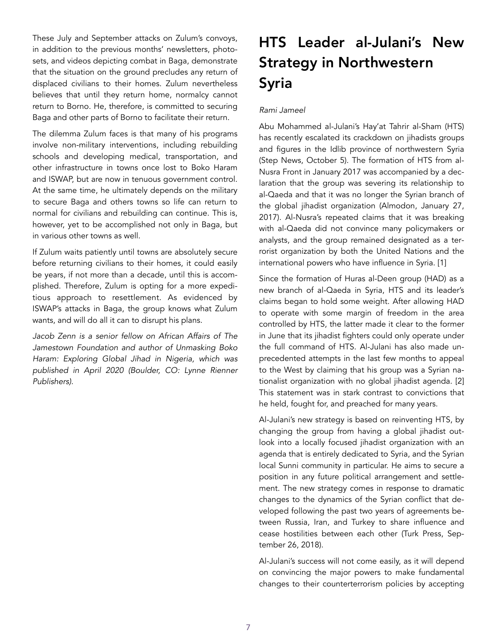These July and September attacks on Zulum's convoys, in addition to the previous months' newsletters, photosets, and videos depicting combat in Baga, demonstrate that the situation on the ground precludes any return of displaced civilians to their homes. Zulum nevertheless believes that until they return home, normalcy cannot return to Borno. He, therefore, is committed to securing Baga and other parts of Borno to facilitate their return.

The dilemma Zulum faces is that many of his programs involve non-military interventions, including rebuilding schools and developing medical, transportation, and other infrastructure in towns once lost to Boko Haram and ISWAP, but are now in tenuous government control. At the same time, he ultimately depends on the military to secure Baga and others towns so life can return to normal for civilians and rebuilding can continue. This is, however, yet to be accomplished not only in Baga, but in various other towns as well.

If Zulum waits patiently until towns are absolutely secure before returning civilians to their homes, it could easily be years, if not more than a decade, until this is accomplished. Therefore, Zulum is opting for a more expeditious approach to resettlement. As evidenced by ISWAP's attacks in Baga, the group knows what Zulum wants, and will do all it can to disrupt his plans.

*Jacob Zenn is a senior fellow on African Affairs of The Jamestown Foundation and author of Unmasking Boko Haram: Exploring Global Jihad in Nigeria, which was published in April 2020 (Boulder, CO: Lynne Rienner Publishers).* 

### HTS Leader al-Julani's New Strategy in Northwestern Syria

### *Rami Jameel*

Abu Mohammed al-Julani's Hay'at Tahrir al-Sham (HTS) has recently escalated its crackdown on jihadists groups and figures in the Idlib province of northwestern Syria ([Step News](https://stepagency-sy.net/2020/10/05/%25D8%25A3%25D8%25A8%25D9%2588-%25D8%25B9%25D8%25A8%25D8%25AF-%25D8%25A7%25D9%2584%25D8%25B1%25D8%25AD%25D9%25), October 5). The formation of HTS from al-Nusra Front in January 2017 was accompanied by a declaration that the group was severing its relationship to al-Qaeda and that it was no longer the Syrian branch of the global jihadist organization [\(Almodon](https://www.almodon.com/arabworld/2017/1/28/%D9%81%D8%AA%D8%AD-%D8%A7%D9%84%D8%B4%D8%A7%D9%85-%D8%AA%D8%B9%D9%84%D9%86-%D8%AA%D8%B4%D9%83%D9%8A%D9%84-%D9%87%D9%8A%D8%A6%D8%A9-%D8%AA%D8%AD%D8%B1%D9%8A%D8%B1-%D8%A7%D9%84%D8%B4%D8%A7%D9%85-%D9%88%D8%A7%D9%84%D8%AF%D8%B9%D8%A7%D8%A9-%D9%8A%D9%86%D8%B6%D9%85%D9%88%D9%86), January 27, 2017). Al-Nusra's repeated claims that it was breaking with al-Qaeda did not convince many policymakers or analysts, and the group remained designated as a terrorist organization by both the United Nations and the international powers who have influence in Syria. [1]

Since the formation of Huras al-Deen group (HAD) as a new branch of al-Qaeda in Syria, HTS and its leader's claims began to hold some weight. After allowing HAD to operate with some margin of freedom in the area controlled by HTS, the latter made it clear to the former in June that its jihadist fighters could only operate under the full command of HTS. Al-Julani has also made unprecedented attempts in the last few months to appeal to the West by claiming that his group was a Syrian nationalist organization with no global jihadist agenda. [2] This statement was in stark contrast to convictions that he held, fought for, and preached for many years.

Al-Julani's new strategy is based on reinventing HTS, by changing the group from having a global jihadist outlook into a locally focused jihadist organization with an agenda that is entirely dedicated to Syria, and the Syrian local Sunni community in particular. He aims to secure a position in any future political arrangement and settlement. The new strategy comes in response to dramatic changes to the dynamics of the Syrian conflict that developed following the past two years of agreements between Russia, Iran, and Turkey to share influence and cease hostilities between each other [\(Turk Press,](https://www.turkpress.co/node/53164) September 26, 2018).

Al-Julani's success will not come easily, as it will depend on convincing the major powers to make fundamental changes to their counterterrorism policies by accepting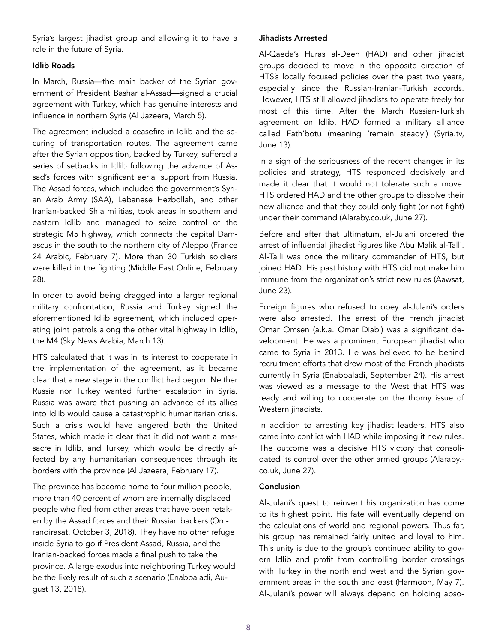Syria's largest jihadist group and allowing it to have a role in the future of Syria.

### Idlib Roads

In March, Russia—the main backer of the Syrian government of President Bashar al-Assad—signed a crucial agreement with Turkey, which has genuine interests and influence in northern Syria ([Al Jazeera,](https://www.aljazeera.net/news/politics/2020/3/5/%25D8%25B3%25D9%2588%25D8%25B1%25D9%258A%25D8%25A7-%25D8%25AA%25D8%25B1%25D9%2583%25D9%258A%25D8%25A7-%25D8%25B1%25D9%2588%25D8%25B3%25D9%258A%25D8%25A7-%25D8%25A5%25D8%25AF%25D9%2584%25D8%25A8-%25D8%25AF%25D8%25B1%25D8%25B9-%25D8%25A7%25D9%2584%25D) March 5).

The agreement included a ceasefire in Idlib and the securing of transportation routes. The agreement came after the Syrian opposition, backed by Turkey, suffered a series of setbacks in Idlib following the advance of Assad's forces with significant aerial support from Russia. The Assad forces, which included the government's Syrian Arab Army (SAA), Lebanese Hezbollah, and other Iranian-backed Shia militias, took areas in southern and eastern Idlib and managed to seize control of the strategic M5 highway, which connects the capital Damascus in the south to the northern city of Aleppo ([France](https://www.france24.com/ar/20200207-%25D8%25B3%25D9%2588%25D8%25B1%25D9%258A%25D8%25A7-%25D8%25A7%25D9%2584%25D9%2582%25D8%25AA%25D8%25A7%25D9%2584-%25D9%2585%25D8%25B3%25D8%25AA%25D8%25B9%25D8%25B1-%25D8%25A8%25D8%25A5%25D8%25AF%25D9%2584%25D8%25A8-%25D9%2588%25D9%2582%25D9%2588%25D8%25A7%25D8%25AA-%25D8%25A7%25D9%2584%25D9%2586%25D8%25B8%25D8%25A7%25D9%2585-%25)  [24 Arabic,](https://www.france24.com/ar/20200207-%25D8%25B3%25D9%2588%25D8%25B1%25D9%258A%25D8%25A7-%25D8%25A7%25D9%2584%25D9%2582%25D8%25AA%25D8%25A7%25D9%2584-%25D9%2585%25D8%25B3%25D8%25AA%25D8%25B9%25D8%25B1-%25D8%25A8%25D8%25A5%25D8%25AF%25D9%2584%25D8%25A8-%25D9%2588%25D9%2582%25D9%2588%25D8%25A7%25D8%25AA-%25D8%25A7%25D9%2584%25D9%2586%25D8%25B8%25D8%25A7%25D9%2585-%25) February 7). More than 30 Turkish soldiers were killed in the fighting ([Middle East Online](https://middle-east-online.com/%25D9%2585%25D9%2582%25D8%25AA%25D9%2584-33-%25D8%25AC%25D9%2586%25D8%25AF%25D9%258A%25D8%25A7-%25D8%25AA%25D8%25B1%25D9%2583%25D9%258A%25D8%25A7-%25D9%2581%25D9%258A-%25D8%25A3%25D8%25B3%25D9%2588%25D8%25A3-%25D8%25AD%25D8%25B5%25D9%258A%25D9%25), February 28).

In order to avoid being dragged into a larger regional military confrontation, Russia and Turkey signed the aforementioned Idlib agreement, which included operating joint patrols along the other vital highway in Idlib, the M4 (Sky News Arabia, March 13).

HTS calculated that it was in its interest to cooperate in the implementation of the agreement, as it became clear that a new stage in the conflict had begun. Neither Russia nor Turkey wanted further escalation in Syria. Russia was aware that pushing an advance of its allies into Idlib would cause a catastrophic humanitarian crisis. Such a crisis would have angered both the United States, which made it clear that it did not want a massacre in Idlib, and Turkey, which would be directly affected by any humanitarian consequences through its borders with the province [\(Al Jazeera](https://www.aljazeera.net/news/politics/2020/2/17/%D8%AA%D8%B1%D8%A7%D9%85%D8%A8-%D8%A3%D8%B1%D8%AF%D9%88%D8%BA%D8%A7%D9%86-%D8%A7%D9%84%D8%A3%D8%B3%D8%AF-%D8%A5%D8%AF%D9), February 17).

The province has become home to four million people, more than 40 percent of whom are internally displaced people who fled from other areas that have been retaken by the Assad forces and their Russian backers ([Om](https://www.omrandirasat.org/)[randirasat,](https://www.omrandirasat.org/) October 3, 2018). They have no other refuge inside Syria to go if President Assad, Russia, and the Iranian-backed forces made a final push to take the province. A large exodus into neighboring Turkey would be the likely result of such a scenario ([Enabbaladi](https://www.enabbaladi.net/archives/246219), August 13, 2018).

### Jihadists Arrested

Al-Qaeda's Huras al-Deen (HAD) and other jihadist groups decided to move in the opposite direction of HTS's locally focused policies over the past two years, especially since the Russian-Iranian-Turkish accords. However, HTS still allowed jihadists to operate freely for most of this time. After the March Russian-Turkish agreement on Idlib, HAD formed a military alliance called Fath'botu (meaning 'remain steady') ([Syria.tv,](https://www.syria.tv/%25D9%2581%25D8%25A7%25D8%25AB%25D8%25A8%25D8%25AA%25D9%2588%25D8%25A7-%25D8%25BA%25D8%25B1%25D9%2581%25D8%25A9-%25D8%25B9%25D9%2585%25D9%2584%25D9%258A%25D8%25A7%25D8%25AA-%25D8%25B9%25D8%25B3%25D9%2583%25D8%25B1%25D9%258A%25D8%25A9-%25D8%25AC%25D8%25AF%25D9%258A%25D8%25AF%25D8%25A9-%25D9%2581%25D9%258A-%25D8%25A5%25D8%25AF%25D9%25) June 13).

In a sign of the seriousness of the recent changes in its policies and strategy, HTS responded decisively and made it clear that it would not tolerate such a move. HTS ordered HAD and the other groups to dissolve their new alliance and that they could only fight (or not fight) under their command [\(Alaraby.co.uk,](https://www.alara) June 27).

Before and after that ultimatum, al-Julani ordered the arrest of influential jihadist figures like Abu Malik al-Talli. Al-Talli was once the military commander of HTS, but joined HAD. His past history with HTS did not make him immune from the organization's strict new rules [\(Aawsat](https://aawsat.com/home/article/2349271/%25D8%25A7%25D8%25B9%25D8%25AA%25D9%2582%25D8%25A7%25D9%2584-%25C2%25AB%25D8%25A3%25D8%25A8%25D9%2588-%25D9%2585%25D8%25A7%25D9%2584%25D9%2583-%25D8%25A7%25D9%2584%25D8%25AA%25D9%2584%25D9%258A%25C2%25BB-%25D8%25A8%25D), June 23).

Foreign figures who refused to obey al-Julani's orders were also arrested. The arrest of the French jihadist Omar Omsen (a.k.a. Omar Diabi) was a significant development. He was a prominent European jihadist who came to Syria in 2013. He was believed to be behind recruitment efforts that drew most of the French jihadists currently in Syria [\(Enabbaladi](https://www.enabbaladi.net/archives/418439), September 24). His arrest was viewed as a message to the West that HTS was ready and willing to cooperate on the thorny issue of Western jihadists.

In addition to arresting key jihadist leaders, HTS also came into conflict with HAD while imposing it new rules. The outcome was a decisive HTS victory that consolidated its control over the other armed groups ([Alaraby.](https://www.alaraby.co.uk/%D8%B3%D9%88%D8%B1%D9%8A%D8%A9-) [co.uk](https://www.alaraby.co.uk/%D8%B3%D9%88%D8%B1%D9%8A%D8%A9-), June 27).

### Conclusion

Al-Julani's quest to reinvent his organization has come to its highest point. His fate will eventually depend on the calculations of world and regional powers. Thus far, his group has remained fairly united and loyal to him. This unity is due to the group's continued ability to govern Idlib and profit from controlling border crossings with Turkey in the north and west and the Syrian government areas in the south and east [\(Harmoon](https://www.harmoo), May 7). Al-Julani's power will always depend on holding abso